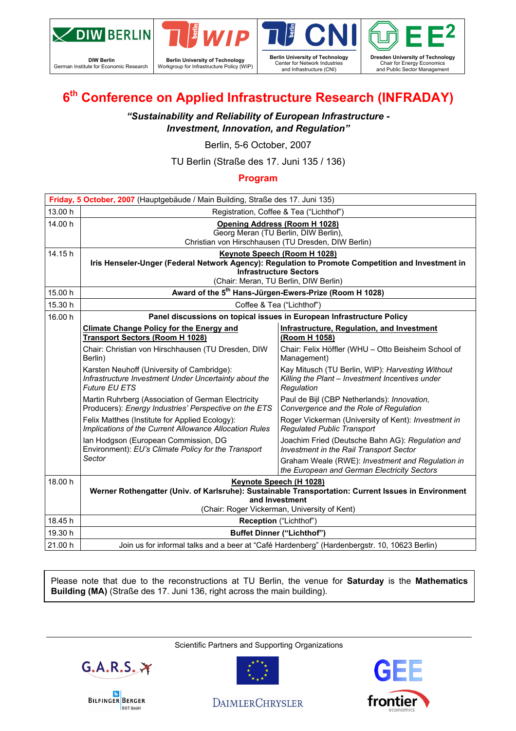

**DIW Berlin**  German Institute for Economic Research



**Berlin University of Technology**  Workgroup for Infrastructure Policy (WIP)





### **6th Conference on Applied Infrastructure Research (INFRADAY)**

*"Sustainability and Reliability of European Infrastructure - Investment, Innovation, and Regulation"* 

Berlin, 5-6 October, 2007

TU Berlin (Straße des 17. Juni 135 / 136)

#### **Program**

| Friday, 5 October, 2007 (Hauptgebäude / Main Building, Straße des 17. Juni 135) |                                                                                                                                                                                                             |                                                                                                                   |  |  |  |  |
|---------------------------------------------------------------------------------|-------------------------------------------------------------------------------------------------------------------------------------------------------------------------------------------------------------|-------------------------------------------------------------------------------------------------------------------|--|--|--|--|
| 13.00 h                                                                         | Registration, Coffee & Tea ("Lichthof")                                                                                                                                                                     |                                                                                                                   |  |  |  |  |
| 14.00 h                                                                         | <b>Opening Address (Room H 1028)</b><br>Georg Meran (TU Berlin, DIW Berlin),<br>Christian von Hirschhausen (TU Dresden, DIW Berlin)                                                                         |                                                                                                                   |  |  |  |  |
| 14.15 h                                                                         | Keynote Speech (Room H 1028)<br>Iris Henseler-Unger (Federal Network Agency): Regulation to Promote Competition and Investment in<br><b>Infrastructure Sectors</b><br>(Chair: Meran, TU Berlin, DIW Berlin) |                                                                                                                   |  |  |  |  |
| 15.00 h                                                                         | Award of the 5 <sup>th</sup> Hans-Jürgen-Ewers-Prize (Room H 1028)                                                                                                                                          |                                                                                                                   |  |  |  |  |
| 15.30 h                                                                         | Coffee & Tea ("Lichthof")                                                                                                                                                                                   |                                                                                                                   |  |  |  |  |
| 16.00 h                                                                         |                                                                                                                                                                                                             | Panel discussions on topical issues in European Infrastructure Policy                                             |  |  |  |  |
|                                                                                 | <b>Climate Change Policy for the Energy and</b><br><b>Transport Sectors (Room H 1028)</b>                                                                                                                   | <b>Infrastructure, Regulation, and Investment</b><br>(Room H 1058)                                                |  |  |  |  |
|                                                                                 | Chair: Christian von Hirschhausen (TU Dresden, DIW<br>Berlin)                                                                                                                                               | Chair: Felix Höffler (WHU - Otto Beisheim School of<br>Management)                                                |  |  |  |  |
|                                                                                 | Karsten Neuhoff (University of Cambridge):<br>Infrastructure Investment Under Uncertainty about the<br><b>Future EU ETS</b>                                                                                 | Kay Mitusch (TU Berlin, WIP): Harvesting Without<br>Killing the Plant - Investment Incentives under<br>Regulation |  |  |  |  |
|                                                                                 | Martin Ruhrberg (Association of German Electricity<br>Producers): Energy Industries' Perspective on the ETS                                                                                                 | Paul de Bijl (CBP Netherlands): Innovation,<br>Convergence and the Role of Regulation                             |  |  |  |  |
|                                                                                 | Felix Matthes (Institute for Applied Ecology):<br>Implications of the Current Allowance Allocation Rules                                                                                                    | Roger Vickerman (University of Kent): Investment in<br><b>Regulated Public Transport</b>                          |  |  |  |  |
|                                                                                 | Ian Hodgson (European Commission, DG<br>Environment): EU's Climate Policy for the Transport                                                                                                                 | Joachim Fried (Deutsche Bahn AG): Regulation and<br>Investment in the Rail Transport Sector                       |  |  |  |  |
|                                                                                 | Sector                                                                                                                                                                                                      | Graham Weale (RWE): Investment and Regulation in<br>the European and German Electricity Sectors                   |  |  |  |  |
| 18.00 h                                                                         | Keynote Speech (H 1028)<br>Werner Rothengatter (Univ. of Karlsruhe): Sustainable Transportation: Current Issues in Environment<br>and Investment<br>(Chair: Roger Vickerman, University of Kent)            |                                                                                                                   |  |  |  |  |
|                                                                                 |                                                                                                                                                                                                             |                                                                                                                   |  |  |  |  |
| 18.45 h                                                                         | Reception ("Lichthof")                                                                                                                                                                                      |                                                                                                                   |  |  |  |  |
| 19.30 h                                                                         | <b>Buffet Dinner ("Lichthof")</b>                                                                                                                                                                           |                                                                                                                   |  |  |  |  |
| 21.00 h                                                                         | Join us for informal talks and a beer at "Café Hardenberg" (Hardenbergstr. 10, 10623 Berlin)                                                                                                                |                                                                                                                   |  |  |  |  |

Please note that due to the reconstructions at TU Berlin, the venue for **Saturday** is the **Mathematics Building (MA)** (Straße des 17. Juni 136, right across the main building).

Scientific Partners and Supporting Organizations







**DAIMLERCHRYSLER** 

### GE frontier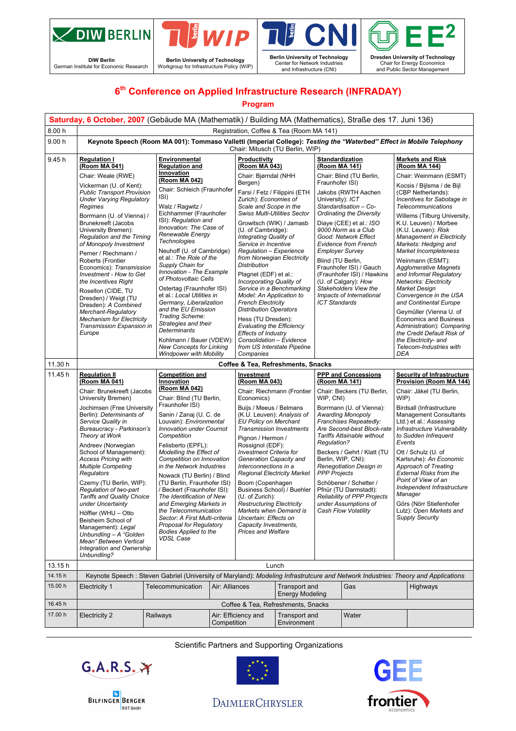

**DIW Berlin**<br>German Institute for Economic Research



**Sail**<br>Deal **Berlin University of Technology**  Center for Network Industries and Infrastructure (CNI)



### **6th Conference on Applied Infrastructure Research (INFRADAY)**

#### **Program**

|         | Saturday, 6 October, 2007 (Gebäude MA (Mathematik) / Building MA (Mathematics), Straße des 17. Juni 136)                                                                                                                                                                                                                                                                                                                                                                                                                                                                                                                                                                                                                                                                                                                                                                                                                                                                                                                                                                                                                                                                                                                                                      |                                                                                                                                                                                                                                                                                                                                                                                                                                                                                                                             |                                                                                                                                                                                                                                                                                                                                                                                                                                                                                          |                                                                                                                                                                                                                                                                                                                                                                                                                                                                                                                                                                                                                        |                                                                                                                                                                                                                                                                       |                                                                                                                                                                                                                                                                                                                                                                                                                                       |                                                                                                                                                                                                                                                                                                                                     |                                                                                                                                                                                                                                                                                                                                                                                                                                                                                                                 |                                                                                                                                                                                                                                                                                                                                                                                                                                                                                                                                                                                                                      |  |
|---------|---------------------------------------------------------------------------------------------------------------------------------------------------------------------------------------------------------------------------------------------------------------------------------------------------------------------------------------------------------------------------------------------------------------------------------------------------------------------------------------------------------------------------------------------------------------------------------------------------------------------------------------------------------------------------------------------------------------------------------------------------------------------------------------------------------------------------------------------------------------------------------------------------------------------------------------------------------------------------------------------------------------------------------------------------------------------------------------------------------------------------------------------------------------------------------------------------------------------------------------------------------------|-----------------------------------------------------------------------------------------------------------------------------------------------------------------------------------------------------------------------------------------------------------------------------------------------------------------------------------------------------------------------------------------------------------------------------------------------------------------------------------------------------------------------------|------------------------------------------------------------------------------------------------------------------------------------------------------------------------------------------------------------------------------------------------------------------------------------------------------------------------------------------------------------------------------------------------------------------------------------------------------------------------------------------|------------------------------------------------------------------------------------------------------------------------------------------------------------------------------------------------------------------------------------------------------------------------------------------------------------------------------------------------------------------------------------------------------------------------------------------------------------------------------------------------------------------------------------------------------------------------------------------------------------------------|-----------------------------------------------------------------------------------------------------------------------------------------------------------------------------------------------------------------------------------------------------------------------|---------------------------------------------------------------------------------------------------------------------------------------------------------------------------------------------------------------------------------------------------------------------------------------------------------------------------------------------------------------------------------------------------------------------------------------|-------------------------------------------------------------------------------------------------------------------------------------------------------------------------------------------------------------------------------------------------------------------------------------------------------------------------------------|-----------------------------------------------------------------------------------------------------------------------------------------------------------------------------------------------------------------------------------------------------------------------------------------------------------------------------------------------------------------------------------------------------------------------------------------------------------------------------------------------------------------|----------------------------------------------------------------------------------------------------------------------------------------------------------------------------------------------------------------------------------------------------------------------------------------------------------------------------------------------------------------------------------------------------------------------------------------------------------------------------------------------------------------------------------------------------------------------------------------------------------------------|--|
| 8.00 h  | Registration, Coffee & Tea (Room MA 141)                                                                                                                                                                                                                                                                                                                                                                                                                                                                                                                                                                                                                                                                                                                                                                                                                                                                                                                                                                                                                                                                                                                                                                                                                      |                                                                                                                                                                                                                                                                                                                                                                                                                                                                                                                             |                                                                                                                                                                                                                                                                                                                                                                                                                                                                                          |                                                                                                                                                                                                                                                                                                                                                                                                                                                                                                                                                                                                                        |                                                                                                                                                                                                                                                                       |                                                                                                                                                                                                                                                                                                                                                                                                                                       |                                                                                                                                                                                                                                                                                                                                     |                                                                                                                                                                                                                                                                                                                                                                                                                                                                                                                 |                                                                                                                                                                                                                                                                                                                                                                                                                                                                                                                                                                                                                      |  |
| 9.00h   | Keynote Speech (Room MA 001): Tommaso Valletti (Imperial College): Testing the "Waterbed" Effect in Mobile Telephony<br>Chair: Mitusch (TU Berlin, WIP)                                                                                                                                                                                                                                                                                                                                                                                                                                                                                                                                                                                                                                                                                                                                                                                                                                                                                                                                                                                                                                                                                                       |                                                                                                                                                                                                                                                                                                                                                                                                                                                                                                                             |                                                                                                                                                                                                                                                                                                                                                                                                                                                                                          |                                                                                                                                                                                                                                                                                                                                                                                                                                                                                                                                                                                                                        |                                                                                                                                                                                                                                                                       |                                                                                                                                                                                                                                                                                                                                                                                                                                       |                                                                                                                                                                                                                                                                                                                                     |                                                                                                                                                                                                                                                                                                                                                                                                                                                                                                                 |                                                                                                                                                                                                                                                                                                                                                                                                                                                                                                                                                                                                                      |  |
| 9.45 h  | <b>Regulation I</b><br>(Room MA 041)                                                                                                                                                                                                                                                                                                                                                                                                                                                                                                                                                                                                                                                                                                                                                                                                                                                                                                                                                                                                                                                                                                                                                                                                                          | Environmental<br><b>Regulation and</b>                                                                                                                                                                                                                                                                                                                                                                                                                                                                                      |                                                                                                                                                                                                                                                                                                                                                                                                                                                                                          | Productivity<br>(Room MA 043)                                                                                                                                                                                                                                                                                                                                                                                                                                                                                                                                                                                          |                                                                                                                                                                                                                                                                       | (Room MA 141)                                                                                                                                                                                                                                                                                                                                                                                                                         | <b>Standardization</b>                                                                                                                                                                                                                                                                                                              |                                                                                                                                                                                                                                                                                                                                                                                                                                                                                                                 | <b>Markets and Risk</b><br>(Room MA 144)                                                                                                                                                                                                                                                                                                                                                                                                                                                                                                                                                                             |  |
|         | Chair: Weale (RWE)                                                                                                                                                                                                                                                                                                                                                                                                                                                                                                                                                                                                                                                                                                                                                                                                                                                                                                                                                                                                                                                                                                                                                                                                                                            | Innovation<br>(Room MA 042)                                                                                                                                                                                                                                                                                                                                                                                                                                                                                                 |                                                                                                                                                                                                                                                                                                                                                                                                                                                                                          | Chair: Bjørndal (NHH                                                                                                                                                                                                                                                                                                                                                                                                                                                                                                                                                                                                   |                                                                                                                                                                                                                                                                       |                                                                                                                                                                                                                                                                                                                                                                                                                                       | Chair: Blind (TU Berlin,                                                                                                                                                                                                                                                                                                            |                                                                                                                                                                                                                                                                                                                                                                                                                                                                                                                 | Chair: Weinmann (ESMT)                                                                                                                                                                                                                                                                                                                                                                                                                                                                                                                                                                                               |  |
|         | Vickerman (U. of Kent):<br><b>Public Transport Provision</b><br><b>Under Varying Regulatory</b><br>Regimes<br>Borrmann (U. of Vienna) /<br><b>Brunekreeft (Jacobs</b><br>University Bremen):<br>Regulation and the Timing<br>of Monopoly Investment<br>Perner / Riechmann /<br>Roberts (Frontier<br>Economics): Transmission<br>Investment - How to Get<br>the Incentives Right<br>Rosellon (CIDE, TU<br>Dresden) / Weigt (TU<br>Dresden): A Combined<br>Merchant-Regulatory<br><b>Mechanism for Electricity</b><br>Transmission Expansion in<br>Europe                                                                                                                                                                                                                                                                                                                                                                                                                                                                                                                                                                                                                                                                                                       | Chair: Schleich (Fraunhofer<br>ISI)<br>Walz / Ragwitz /<br>Eichhammer (Fraunhofer<br>ISI): Regulation and<br>Innovation: The Case of<br>Renewable Energy<br><b>Technologies</b><br>Neuhoff (U. of Cambridge)<br>et al.: The Role of the<br>Supply Chain for<br>Innovation - The Example<br>of Photovoltaic Cells<br>Ostertag (Fraunhofer ISI)<br>et al.: Local Utilities in<br>Germany, Liberalization<br>and the EU Emission<br>Trading Scheme:<br>Strategies and their<br><b>Determinants</b><br>Kohlmann / Bauer (VDEW): |                                                                                                                                                                                                                                                                                                                                                                                                                                                                                          | Bergen)<br>Farsi / Fetz / Filippini (ETH<br>Zurich): Economies of<br>Scale and Scope in the<br><b>Swiss Multi-Utilities Sector</b><br>Growitsch (WIK) / Jamasb<br>(U. of Cambridge):<br>Integrating Quality of<br>Service in Incentive<br>Regulation - Experience<br>from Norwegian Electricity<br><b>Distribution</b><br>Plagnet (EDF) et al.:<br>Incorporating Quality of<br>Service in a Benchmarking<br>Model: An Application to<br><b>French Electricity</b><br><b>Distribution Operators</b><br>Hess (TU Dresden):<br><b>Evaluating the Efficiency</b><br><b>Effects of Industry</b><br>Consolidation - Evidence |                                                                                                                                                                                                                                                                       | Fraunhofer ISI)<br>Jakobs (RWTH Aachen<br>University): ICT<br>Standardisation - Co-<br>Ordinating the Diversity<br>Diaye (CEE) et al.: ISO<br>9000 Norm as a Club<br>Good: Network Effect<br><b>Evidence from French</b><br><b>Employer Survey</b><br>Blind (TU Berlin,<br>Fraunhofer ISI) / Gauch<br>(Fraunhofer ISI) / Hawkins<br>(U. of Calgary): How<br>Stakeholders View the<br>Impacts of International<br><b>ICT Standards</b> |                                                                                                                                                                                                                                                                                                                                     |                                                                                                                                                                                                                                                                                                                                                                                                                                                                                                                 | Kocsis / Bijlsma / de Bijl<br>(CBP Netherlands):<br>Incentives for Sabotage in<br><b>Telecommunications</b><br>Willems (Tilburg University,<br>K.U. Leuven) / Morbee<br>(K.U. Leuven): Risk<br><b>Management in Electricity</b><br>Markets: Hedging and<br>Market Incompleteness<br>Weinmann (ESMT):<br><b>Agglomerative Magnets</b><br>and Informal Regulatory<br>Networks: Electricity<br><b>Market Design</b><br>Convergence in the USA<br>and Continental Europe<br>Geymüller (Vienna U. of<br><b>Economics and Business</b><br>Administration): Comparing<br>the Credit Default Risk of<br>the Electricity- and |  |
|         |                                                                                                                                                                                                                                                                                                                                                                                                                                                                                                                                                                                                                                                                                                                                                                                                                                                                                                                                                                                                                                                                                                                                                                                                                                                               | <b>New Concepts for Linking</b><br><b>Windpower with Mobility</b>                                                                                                                                                                                                                                                                                                                                                                                                                                                           |                                                                                                                                                                                                                                                                                                                                                                                                                                                                                          | Companies                                                                                                                                                                                                                                                                                                                                                                                                                                                                                                                                                                                                              | from US Interstate Pipeline                                                                                                                                                                                                                                           |                                                                                                                                                                                                                                                                                                                                                                                                                                       |                                                                                                                                                                                                                                                                                                                                     | DEA                                                                                                                                                                                                                                                                                                                                                                                                                                                                                                             | Telecom-Industries with                                                                                                                                                                                                                                                                                                                                                                                                                                                                                                                                                                                              |  |
| 11.30 h |                                                                                                                                                                                                                                                                                                                                                                                                                                                                                                                                                                                                                                                                                                                                                                                                                                                                                                                                                                                                                                                                                                                                                                                                                                                               |                                                                                                                                                                                                                                                                                                                                                                                                                                                                                                                             |                                                                                                                                                                                                                                                                                                                                                                                                                                                                                          | Coffee & Tea, Refreshments, Snacks                                                                                                                                                                                                                                                                                                                                                                                                                                                                                                                                                                                     |                                                                                                                                                                                                                                                                       |                                                                                                                                                                                                                                                                                                                                                                                                                                       |                                                                                                                                                                                                                                                                                                                                     |                                                                                                                                                                                                                                                                                                                                                                                                                                                                                                                 |                                                                                                                                                                                                                                                                                                                                                                                                                                                                                                                                                                                                                      |  |
| 11.45h  | <b>Regulation II</b><br><b>Competition and</b><br>(Room MA 041)<br>Innovation<br>(Room MA 042)<br>Chair: Brunekreeft (Jacobs<br>Chair: Blind (TU Berlin,<br>University Bremen)<br>Fraunhofer ISI)<br>Jochimsen (Free University<br>Berlin): Determinants of<br>Sanin / Zanaj (U. C. de<br>Louvain): Environmental<br>Service Quality in<br><b>Innovation under Cournot</b><br>Bureaucracy - Parkinson's<br>Theory at Work<br>Competition<br>Andreev (Norwegian<br>Felisberto (EPFL):<br>School of Management):<br>Modelling the Effect of<br><b>Access Pricing with</b><br>Competition on Innovation<br><b>Multiple Competing</b><br>in the Network Industries<br>Regulators<br>Nowack (TU Berlin) / Blind<br>Czerny (TU Berlin, WIP):<br>(TU Berlin, Fraunhofer ISI)<br>Regulation of two-part<br>/ Beckert (Fraunhofer ISI):<br><b>Tariffs and Quality Choice</b><br>The Identification of New<br>under Uncertainty<br>and Emerging Markets in<br>the Telecommunication<br>Höffler (WHU - Otto<br>Sector: A First Multi-criteria<br>Beisheim School of<br>Proposal for Regulatory<br>Management): Legal<br><b>Bodies Applied to the</b><br>Unbundling - A "Golden<br><b>VDSL Case</b><br>Mean" Between Vertical<br>Integration and Ownership<br>Unbundling? |                                                                                                                                                                                                                                                                                                                                                                                                                                                                                                                             | Investment<br>(Room MA 043)<br>Economics)<br>Buijs / Meeus / Belmans<br>(K.U. Leuven): Analysis of<br><b>EU Policy on Merchant</b><br><b>Transmission Investments</b><br>Pignon / Hermon /<br>Rossignol (EDF):<br><b>Investment Criteria for</b><br>Generation Capacity and<br>Interconnections in a<br>Boom (Copenhagen<br>(U. of Zurich):<br><b>Restructuring Electricity</b><br>Markets when Demand is<br>Uncertain: Effects on<br>Capacity Investments,<br><b>Prices and Welfare</b> |                                                                                                                                                                                                                                                                                                                                                                                                                                                                                                                                                                                                                        | (Room MA 141)<br>Chair: Riechmann (Frontier<br>WIP, CNI)<br><b>Awarding Monopoly</b><br>Regulation?<br>Berlin, WIP, CNI):<br><b>Regional Electricity Market</b><br><b>PPP Projects</b><br>Business School) / Buehler<br>Pfnür (TU Darmstadt):<br>Cash Flow Volatility |                                                                                                                                                                                                                                                                                                                                                                                                                                       | <b>PPP and Concessions</b><br>Chair: Beckers (TU Berlin,<br>Borrmann (U. of Vienna):<br>Franchises Repeatedly:<br>Are Second-best Block-rate<br><b>Tariffs Attainable without</b><br>Beckers / Gehrt / Klatt (TU<br>Renegotiation Design in<br>Schöbener / Schetter /<br><b>Reliability of PPP Projects</b><br>under Assumptions of | <b>Security of Infrastructure</b><br>Provision (Room MA 144)<br>Chair: Jäkel (TU Berlin,<br>WIP)<br>Birdsall (Infrastructure<br><b>Management Consultants</b><br>Ltd.) et al.: Assessing<br>Infrastructure Vulnerability<br>to Sudden Infrequent<br>Events<br>Ott / Schulz (U. of<br>Karlsruhe): An Economic<br>Approach of Treating<br>External Risks from the<br>Point of View of an<br>Independent Infrastructure<br>Manager<br>Görs (Nörr Stiefenhofer<br>Lutz): Open Markets and<br><b>Supply Security</b> |                                                                                                                                                                                                                                                                                                                                                                                                                                                                                                                                                                                                                      |  |
| 13.15h  | Lunch                                                                                                                                                                                                                                                                                                                                                                                                                                                                                                                                                                                                                                                                                                                                                                                                                                                                                                                                                                                                                                                                                                                                                                                                                                                         |                                                                                                                                                                                                                                                                                                                                                                                                                                                                                                                             |                                                                                                                                                                                                                                                                                                                                                                                                                                                                                          |                                                                                                                                                                                                                                                                                                                                                                                                                                                                                                                                                                                                                        |                                                                                                                                                                                                                                                                       |                                                                                                                                                                                                                                                                                                                                                                                                                                       |                                                                                                                                                                                                                                                                                                                                     |                                                                                                                                                                                                                                                                                                                                                                                                                                                                                                                 |                                                                                                                                                                                                                                                                                                                                                                                                                                                                                                                                                                                                                      |  |
| 14.15h  | Keynote Speech: Steven Gabriel (University of Maryland): Modeling Infrastrutcure and Network Industries: Theory and Applications                                                                                                                                                                                                                                                                                                                                                                                                                                                                                                                                                                                                                                                                                                                                                                                                                                                                                                                                                                                                                                                                                                                              |                                                                                                                                                                                                                                                                                                                                                                                                                                                                                                                             |                                                                                                                                                                                                                                                                                                                                                                                                                                                                                          |                                                                                                                                                                                                                                                                                                                                                                                                                                                                                                                                                                                                                        |                                                                                                                                                                                                                                                                       |                                                                                                                                                                                                                                                                                                                                                                                                                                       |                                                                                                                                                                                                                                                                                                                                     |                                                                                                                                                                                                                                                                                                                                                                                                                                                                                                                 |                                                                                                                                                                                                                                                                                                                                                                                                                                                                                                                                                                                                                      |  |
| 15.00 h | Electricity 1                                                                                                                                                                                                                                                                                                                                                                                                                                                                                                                                                                                                                                                                                                                                                                                                                                                                                                                                                                                                                                                                                                                                                                                                                                                 | Telecommunication<br>Air: Alliances                                                                                                                                                                                                                                                                                                                                                                                                                                                                                         |                                                                                                                                                                                                                                                                                                                                                                                                                                                                                          |                                                                                                                                                                                                                                                                                                                                                                                                                                                                                                                                                                                                                        | <b>Transport and</b><br><b>Energy Modeling</b>                                                                                                                                                                                                                        |                                                                                                                                                                                                                                                                                                                                                                                                                                       | Gas                                                                                                                                                                                                                                                                                                                                 |                                                                                                                                                                                                                                                                                                                                                                                                                                                                                                                 | Highways                                                                                                                                                                                                                                                                                                                                                                                                                                                                                                                                                                                                             |  |
| 16.45 h |                                                                                                                                                                                                                                                                                                                                                                                                                                                                                                                                                                                                                                                                                                                                                                                                                                                                                                                                                                                                                                                                                                                                                                                                                                                               |                                                                                                                                                                                                                                                                                                                                                                                                                                                                                                                             |                                                                                                                                                                                                                                                                                                                                                                                                                                                                                          | Coffee & Tea, Refreshments, Snacks                                                                                                                                                                                                                                                                                                                                                                                                                                                                                                                                                                                     |                                                                                                                                                                                                                                                                       |                                                                                                                                                                                                                                                                                                                                                                                                                                       |                                                                                                                                                                                                                                                                                                                                     |                                                                                                                                                                                                                                                                                                                                                                                                                                                                                                                 |                                                                                                                                                                                                                                                                                                                                                                                                                                                                                                                                                                                                                      |  |
| 17.00 h | <b>Electricity 2</b>                                                                                                                                                                                                                                                                                                                                                                                                                                                                                                                                                                                                                                                                                                                                                                                                                                                                                                                                                                                                                                                                                                                                                                                                                                          | Railways                                                                                                                                                                                                                                                                                                                                                                                                                                                                                                                    | Competition                                                                                                                                                                                                                                                                                                                                                                                                                                                                              | Air: Efficiency and                                                                                                                                                                                                                                                                                                                                                                                                                                                                                                                                                                                                    | <b>Transport and</b><br>Environment                                                                                                                                                                                                                                   |                                                                                                                                                                                                                                                                                                                                                                                                                                       | Water                                                                                                                                                                                                                                                                                                                               |                                                                                                                                                                                                                                                                                                                                                                                                                                                                                                                 |                                                                                                                                                                                                                                                                                                                                                                                                                                                                                                                                                                                                                      |  |

Scientific Partners and Supporting Organizations





# GEE frontier